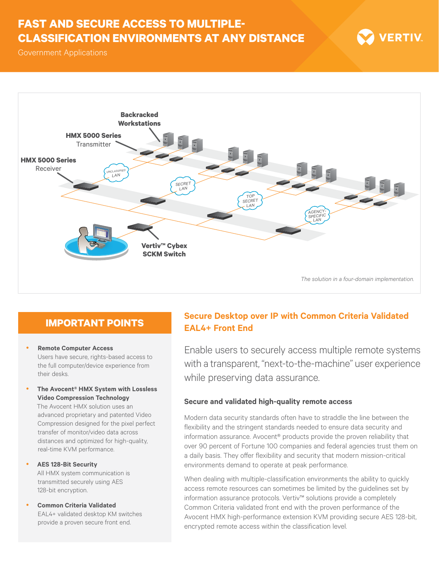# **FAST AND SECURE ACCESS TO MULTIPLE-CLASSIFICATION ENVIRONMENTS AT ANY DISTANCE**



Government Applications



## **IMPORTANT POINTS**

- **Remote Computer Access** Users have secure, rights-based access to the full computer/device experience from their desks.
- y **The Avocent® HMX System with Lossless Video Compression Technology**

The Avocent HMX solution uses an advanced proprietary and patented Video Compression designed for the pixel perfect transfer of monitor/video data across distances and optimized for high-quality, real-time KVM performance.

- y **AES 128-Bit Security** All HMX system communication is transmitted securely using AES 128-bit encryption.
- **Common Criteria Validated** EAL4+ validated desktop KM switches provide a proven secure front end.

## **Secure Desktop over IP with Common Criteria Validated EAL4+ Front End**

Enable users to securely access multiple remote systems with a transparent, "next-to-the-machine" user experience while preserving data assurance.

### **Secure and validated high-quality remote access**

Modern data security standards often have to straddle the line between the flexibility and the stringent standards needed to ensure data security and information assurance. Avocent® products provide the proven reliability that over 90 percent of Fortune 100 companies and federal agencies trust them on a daily basis. They offer flexibility and security that modern mission-critical environments demand to operate at peak performance.

When dealing with multiple-classification environments the ability to quickly access remote resources can sometimes be limited by the guidelines set by information assurance protocols. Vertiv™ solutions provide a completely Common Criteria validated front end with the proven performance of the Avocent HMX high-performance extension KVM providing secure AES 128-bit, encrypted remote access within the classification level.